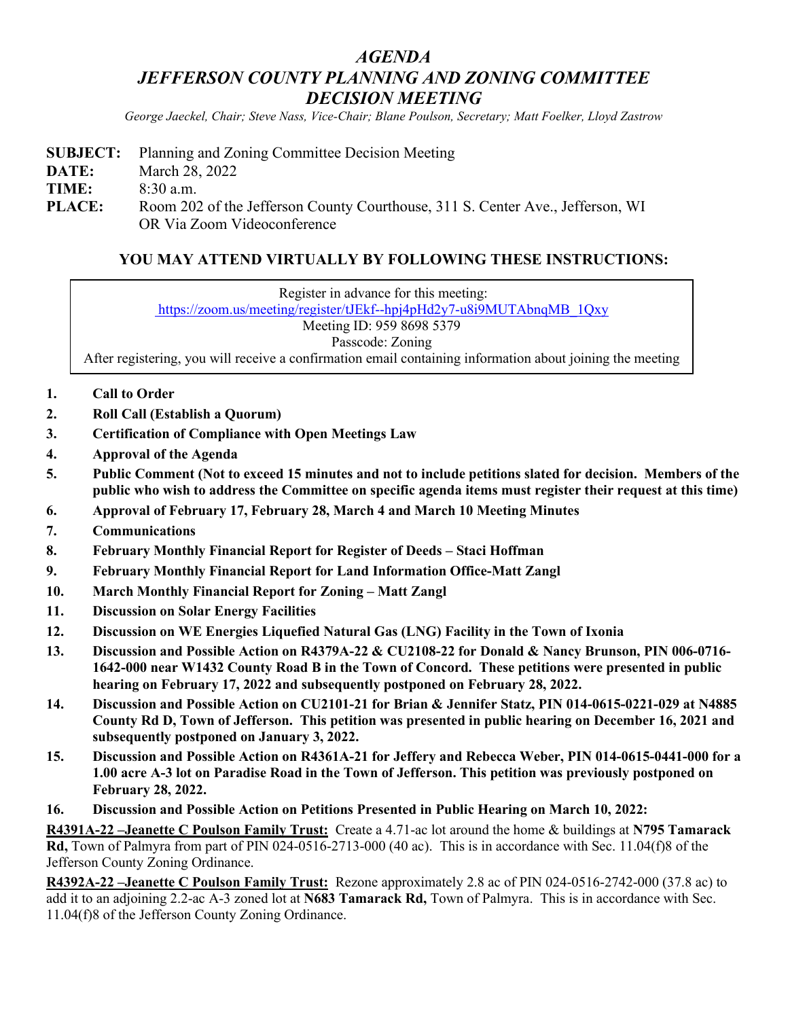## *AGENDA JEFFERSON COUNTY PLANNING AND ZONING COMMITTEE DECISION MEETING*

*George Jaeckel, Chair; Steve Nass, Vice-Chair; Blane Poulson, Secretary; Matt Foelker, Lloyd Zastrow*

**SUBJECT:** Planning and Zoning Committee Decision Meeting **DATE:** March 28, 2022 **TIME:** 8:30 a.m. **PLACE:** Room 202 of the Jefferson County Courthouse, 311 S. Center Ave., Jefferson, WI OR Via Zoom Videoconference

## **YOU MAY ATTEND VIRTUALLY BY FOLLOWING THESE INSTRUCTIONS:**

Register in advance for this meeting:

[https://zoom.us/meeting/register/tJEkf--hpj4pHd2y7-u8i9MUTAbnqMB\\_1Qxy](https://zoom.us/meeting/register/tJEkf--hpj4pHd2y7-u8i9MUTAbnqMB_1Qxy)

Meeting ID: 959 8698 5379

Passcode: Zoning

After registering, you will receive a confirmation email containing information about joining the meeting

- **1. Call to Order**
- **2. Roll Call (Establish a Quorum)**
- **3. Certification of Compliance with Open Meetings Law**
- **4. Approval of the Agenda**
- **5. Public Comment (Not to exceed 15 minutes and not to include petitions slated for decision. Members of the public who wish to address the Committee on specific agenda items must register their request at this time)**
- **6. Approval of February 17, February 28, March 4 and March 10 Meeting Minutes**
- **7. Communications**
- **8. February Monthly Financial Report for Register of Deeds – Staci Hoffman**
- **9. February Monthly Financial Report for Land Information Office-Matt Zangl**
- **10. March Monthly Financial Report for Zoning – Matt Zangl**
- **11. Discussion on Solar Energy Facilities**
- **12. Discussion on WE Energies Liquefied Natural Gas (LNG) Facility in the Town of Ixonia**
- **13. Discussion and Possible Action on R4379A-22 & CU2108-22 for Donald & Nancy Brunson, PIN 006-0716- 1642-000 near W1432 County Road B in the Town of Concord. These petitions were presented in public hearing on February 17, 2022 and subsequently postponed on February 28, 2022.**
- **14. Discussion and Possible Action on CU2101-21 for Brian & Jennifer Statz, PIN 014-0615-0221-029 at N4885 County Rd D, Town of Jefferson. This petition was presented in public hearing on December 16, 2021 and subsequently postponed on January 3, 2022.**
- **15. Discussion and Possible Action on R4361A-21 for Jeffery and Rebecca Weber, PIN 014-0615-0441-000 for a 1.00 acre A-3 lot on Paradise Road in the Town of Jefferson. This petition was previously postponed on February 28, 2022.**
- **16. Discussion and Possible Action on Petitions Presented in Public Hearing on March 10, 2022:**

**R4391A-22 –Jeanette C Poulson Family Trust:** Create a 4.71-ac lot around the home & buildings at **N795 Tamarack Rd,** Town of Palmyra from part of PIN 024-0516-2713-000 (40 ac). This is in accordance with Sec. 11.04(f)8 of the Jefferson County Zoning Ordinance.

**R4392A-22 –Jeanette C Poulson Family Trust:** Rezone approximately 2.8 ac of PIN 024-0516-2742-000 (37.8 ac) to add it to an adjoining 2.2-ac A-3 zoned lot at **N683 Tamarack Rd,** Town of Palmyra. This is in accordance with Sec. 11.04(f)8 of the Jefferson County Zoning Ordinance.